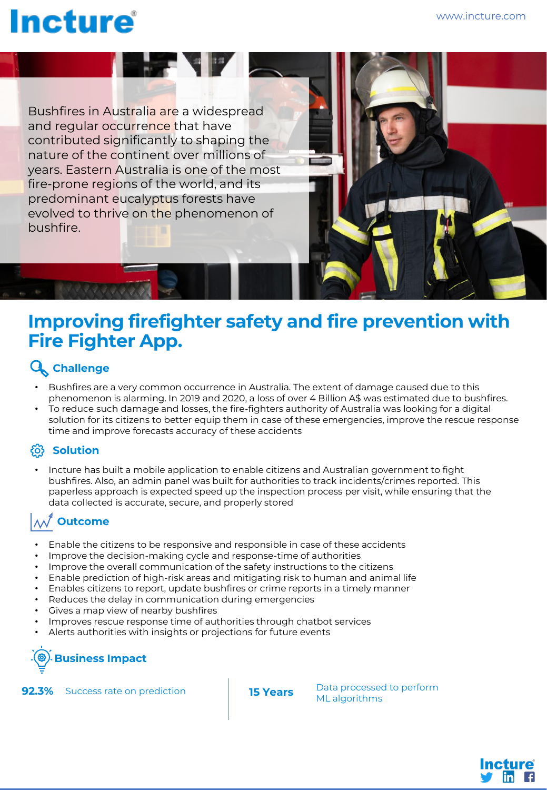# **Incture**

Bushfires in Australia are a widespread and regular occurrence that have contributed significantly to shaping the nature of the continent over millions of years. Eastern Australia is one of the most fire-prone regions of the world, and its predominant eucalyptus forests have evolved to thrive on the phenomenon of bushfire.

**THE REAL PROPERTY** 



#### **Improving firefighter safety and fire prevention with Fire Fighter App.**

#### **Challenge**

- Bushfires are a very common occurrence in Australia. The extent of damage caused due to this phenomenon is alarming. In 2019 and 2020, a loss of over 4 Billion A\$ was estimated due to bushfires.
- To reduce such damage and losses, the fire-fighters authority of Australia was looking for a digital solution for its citizens to better equip them in case of these emergencies, improve the rescue response time and improve forecasts accuracy of these accidents

#### **Solution**

• Incture has built a mobile application to enable citizens and Australian government to fight bushfires. Also, an admin panel was built for authorities to track incidents/crimes reported. This paperless approach is expected speed up the inspection process per visit, while ensuring that the data collected is accurate, secure, and properly stored

### **Outcome**

- Enable the citizens to be responsive and responsible in case of these accidents
- Improve the decision-making cycle and response-time of authorities
- Improve the overall communication of the safety instructions to the citizens
- Enable prediction of high-risk areas and mitigating risk to human and animal life
- Enables citizens to report, update bushfires or crime reports in a timely manner
- Reduces the delay in communication during emergencies
- Gives a map view of nearby bushfires
- Improves rescue response time of authorities through chatbot services
- Alerts authorities with insights or projections for future events

## **Business Impact**



**ML** algorithms